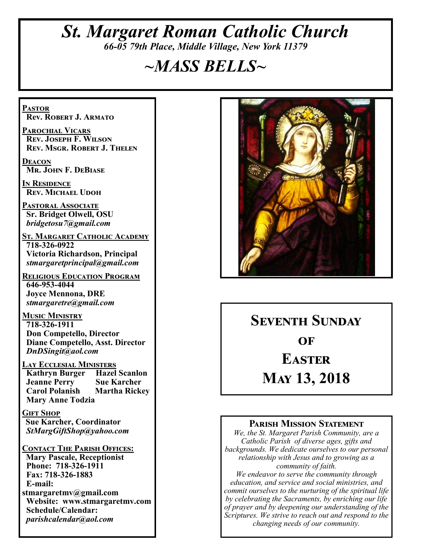# *St. Margaret Roman Catholic Church 66-05 79th Place, Middle Village, New York 11379*

# *~MASS BELLS~*

**Pastor Rev. Robert J. Armato**

**Parochial Vicars Rev. Joseph F. Wilson Rev. Msgr. Robert J. Thelen**

**Deacon Mr. John F. DeBiase** 

**In Residence Rev. Michael Udoh**

**Pastoral Associate Sr. Bridget Olwell, OSU**  *bridgetosu7@gmail.com*

**St. Margaret Catholic Academy 718-326-0922 Victoria Richardson, Principal**  *stmargaretprincipal@gmail.com*

**Religious Education Program 646-953-4044 Joyce Mennona, DRE** *stmargaretre@gmail.com*

**Music Ministry 718-326-1911 Don Competello, Director Diane Competello, Asst. Director** *DnDSingit@aol.com*

**Lay Ecclesial Ministers Kathryn Burger Jeanne Perry Sue Karcher Carol Polanish Martha Rickey Mary Anne Todzia**

**Gift Shop Sue Karcher, Coordinator** *StMargGiftShop@yahoo.com*

**Contact The Parish Offices: Mary Pascale, Receptionist Phone: 718-326-1911 Fax: 718-326-1883 E-mail: stmargaretmv@gmail.com Website: www.stmargaretmv.com Schedule/Calendar:** *parishcalendar@aol.com* 



**Seventh Sunday**   $\Omega$ **F Easter May 13, 2018** 

#### **Parish Mission Statement**

*We, the St. Margaret Parish Community, are a Catholic Parish of diverse ages, gifts and backgrounds. We dedicate ourselves to our personal relationship with Jesus and to growing as a community of faith.*

*We endeavor to serve the community through education, and service and social ministries, and commit ourselves to the nurturing of the spiritual life by celebrating the Sacraments, by enriching our life of prayer and by deepening our understanding of the Scriptures. We strive to reach out and respond to the changing needs of our community.*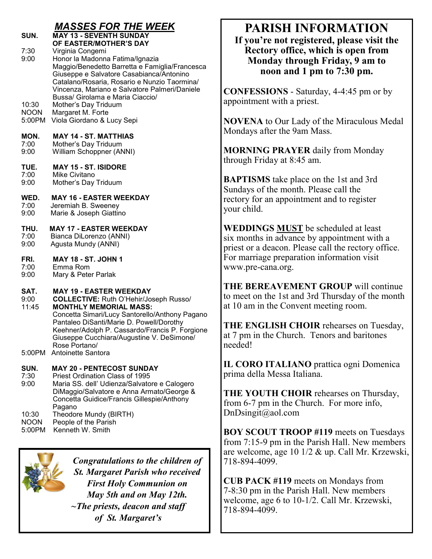#### *MASSES FOR THE WEEK* **SUN. MAY 13 - SEVENTH SUNDAY**

- **OF EASTER/MOTHER'S DAY**<br>7:30 Virginia Congemi Virginia Congemi 9:00 Honor la Madonna Fatima/Ignazia Maggio/Benedetto Barretta e Famiglia/Francesca Giuseppe e Salvatore Casabianca/Antonino Catalano/Rosaria, Rosario e Nunzio Taormina/ Vincenza, Mariano e Salvatore Palmeri/Daniele Bussa/ Girolama e Maria Ciaccio/
- 10:30 Mother's Day Triduum<br>NOON Margaret M. Forte
- NOON Margaret M. Forte<br>5:00PM Viola Giordano & L
- Viola Giordano & Lucy Sepi

#### **MON. MAY 14 - ST. MATTHIAS**

- 7:00 Mother's Day Triduum<br>9:00 William Schoppner (AN William Schoppner (ANNI)
- **TUE. MAY 15 - ST. ISIDORE**
- 7:00 Mike Civitano<br>9:00 Mother's Dav
- Mother's Day Triduum
- **WED. MAY 16 - EASTER WEEKDAY**
- 7:00 Jeremiah B. Sweeney<br>9:00 Marie & Joseph Giattir
- Marie & Joseph Giattino

# **THU. MAY 17 - EASTER WEEKDAY**<br>7:00 Bianca DiLorenzo (ANNI)

- Bianca DiLorenzo (ANNI)
- 9:00 Agusta Mundy (ANNI)
- **FRI. MAY 18 - ST. JOHN 1**
- 7:00 Emma Rom
- 9:00 Mary & Peter Parlak

# **SAT.** MAY 19 - EASTER WEEKDAY 9:00 COLLECTIVE: Ruth O'Hehir/Jo

9:00 **COLLECTIVE:** Ruth O'Hehir/Joseph Russo/ 11:45 **MONTHLY MEMORIAL MASS:** Concetta Simari/Lucy Santorello/Anthony Pagano Pantaleo DiSanti/Marie D. Powell/Dorothy Keehner/Adolph P. Cassardo/Francis P. Forgione Giuseppe Cucchiara/Augustine V. DeSimone/ Rose Portano/

5:00PM Antoinette Santora

# **SUN. MAY 20 - PENTECOST SUNDAY**<br>7:30 Priest Ordination Class of 1995

Priest Ordination Class of 1995

- 9:00 Maria SS. dell' Udienza/Salvatore e Calogero DiMaggio/Salvatore e Anna Armato/George & Concetta Guidice/Francis Gillespie/Anthony Pagano 10:30 Theodore Mundy (BIRTH)
- NOON People of the Parish
- 5:00PM Kenneth W. Smith



*Congratulations to the children of St. Margaret Parish who received First Holy Communion on May 5th and on May 12th. ~The priests, deacon and staff of St. Margaret's*

# **PARISH INFORMATION**

**If you're not registered, please visit the Rectory office, which is open from Monday through Friday, 9 am to noon and 1 pm to 7:30 pm.**

**CONFESSIONS** - Saturday, 4-4:45 pm or by appointment with a priest.

**NOVENA** to Our Lady of the Miraculous Medal Mondays after the 9am Mass.

**MORNING PRAYER** daily from Monday through Friday at 8:45 am.

**BAPTISMS** take place on the 1st and 3rd Sundays of the month. Please call the rectory for an appointment and to register your child.

**WEDDINGS MUST** be scheduled at least six months in advance by appointment with a priest or a deacon. Please call the rectory office. For marriage preparation information visit www.pre-cana.org.

**THE BEREAVEMENT GROUP** will continue to meet on the 1st and 3rd Thursday of the month at 10 am in the Convent meeting room.

**THE ENGLISH CHOIR** rehearses on Tuesday, at 7 pm in the Church. Tenors and baritones needed!

**IL CORO ITALIANO** prattica ogni Domenica prima della Messa Italiana.

**THE YOUTH CHOIR** rehearses on Thursday, from 6-7 pm in the Church. For more info, DnDsingit@aol.com

**BOY SCOUT TROOP #119** meets on Tuesdays from 7:15-9 pm in the Parish Hall. New members are welcome, age 10 1/2 & up. Call Mr. Krzewski, 718-894-4099.

**CUB PACK #119** meets on Mondays from 7-8:30 pm in the Parish Hall. New members welcome, age 6 to 10-1/2. Call Mr. Krzewski, 718-894-4099.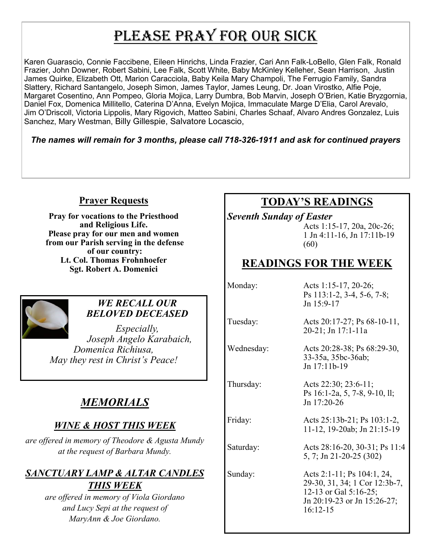# PLEASE PRAY FOR OUR SICK

Karen Guarascio, Connie Faccibene, Eileen Hinrichs, Linda Frazier, Cari Ann Falk-LoBello, Glen Falk, Ronald Frazier, John Downer, Robert Sabini, Lee Falk, Scott White, Baby McKinley Kelleher, Sean Harrison, Justin James Quirke, Elizabeth Ott, Marion Caracciola, Baby Keila Mary Champoli, The Ferrugio Family, Sandra Slattery, Richard Santangelo, Joseph Simon, James Taylor, James Leung, Dr. Joan Virostko, Alfie Poje, Margaret Cosentino, Ann Pompeo, Gloria Mojica, Larry Dumbra, Bob Marvin, Joseph O'Brien, Katie Bryzgornia, Daniel Fox, Domenica Millitello, Caterina D'Anna, Evelyn Mojica, Immaculate Marge D'Elia, Carol Arevalo, Jim O'Driscoll, Victoria Lippolis, Mary Rigovich, Matteo Sabini, Charles Schaaf, Alvaro Andres Gonzalez, Luis Sanchez, Mary Westman, Billy Gillespie, Salvatore Locascio,

*The names will remain for 3 months, please call 718-326-1911 and ask for continued prayers*

#### **Prayer Requests**

**Pray for vocations to the Priesthood and Religious Life. Please pray for our men and women from our Parish serving in the defense of our country: Lt. Col. Thomas Frohnhoefer Sgt. Robert A. Domenici** 



#### *WE RECALL OUR BELOVED DECEASED*

*Especially, Joseph Angelo Karabaich, Domenica Richiusa, May they rest in Christ's Peace!*

# *MEMORIALS*

## *WINE & HOST THIS WEEK*

*are offered in memory of Theodore & Agusta Mundy at the request of Barbara Mundy.* 

## *SANCTUARY LAMP & ALTAR CANDLES THIS WEEK*

*are offered in memory of Viola Giordano and Lucy Sepi at the request of MaryAnn & Joe Giordano.*

# **TODAY'S READINGS**

*Seventh Sunday of Easter*

Acts 1:15-17, 20a, 20c-26; 1 Jn 4:11-16, Jn 17:11b-19 (60)

# **READINGS FOR THE WEEK**

| Monday:    | Acts 1:15-17, 20-26;<br>Ps 113:1-2, 3-4, 5-6, 7-8;<br>Jn $15:9-17$                                                                |
|------------|-----------------------------------------------------------------------------------------------------------------------------------|
| Tuesday:   | Acts 20:17-27; Ps $68-10-11$ ,<br>20-21; Jn 17:1-11a                                                                              |
| Wednesday: | Acts 20:28-38; Ps 68:29-30,<br>33-35a, 35bc-36ab;<br>Jn 17:11b-19                                                                 |
| Thursday:  | Acts 22:30; 23:6-11;<br>Ps 16:1-2a, 5, 7-8, 9-10, ll;<br>$Jn$ 17:20-26                                                            |
| Friday:    | Acts 25:13b-21; Ps 103:1-2,<br>11-12, 19-20ab; Jn 21:15-19                                                                        |
| Saturday:  | Acts 28:16-20, 30-31; Ps 11:4<br>5, 7; Jn 21-20-25 (302)                                                                          |
| Sunday:    | Acts 2:1-11; Ps 104:1, 24,<br>29-30, 31, 34; 1 Cor 12:3b-7,<br>12-13 or Gal 5:16-25;<br>Jn 20:19-23 or Jn 15:26-27;<br>$16:12-15$ |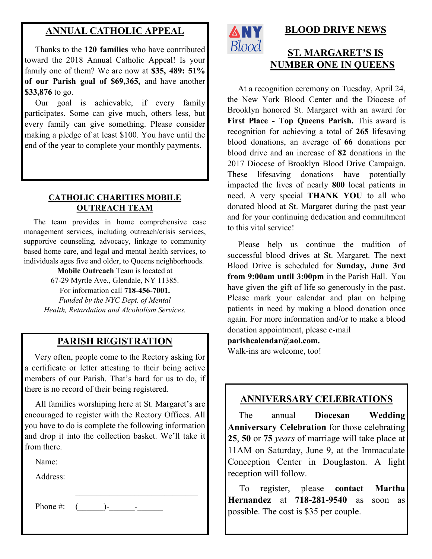#### **ANNUAL CATHOLIC APPEAL**

 Thanks to the **120 families** who have contributed toward the 2018 Annual Catholic Appeal! Is your family one of them? We are now at **\$35, 489: 51% of our Parish goal of \$69,365,** and have another **\$33,876** to go.

 Our goal is achievable, if every family participates. Some can give much, others less, but every family can give something. Please consider making a pledge of at least \$100. You have until the end of the year to complete your monthly payments.

#### **CATHOLIC CHARITIES MOBILE OUTREACH TEAM**

 The team provides in home comprehensive case management services, including outreach/crisis services, supportive counseling, advocacy, linkage to community based home care, and legal and mental health services, to individuals ages five and older, to Queens neighborhoods.

> **Mobile Outreach** Team is located at 67-29 Myrtle Ave., Glendale, NY 11385. For information call **718-456-7001.** *Funded by the NYC Dept. of Mental Health, Retardation and Alcoholism Services.*

#### **PARISH REGISTRATION**

 Very often, people come to the Rectory asking for a certificate or letter attesting to their being active members of our Parish. That's hard for us to do, if there is no record of their being registered.

 All families worshiping here at St. Margaret's are encouraged to register with the Rectory Offices. All you have to do is complete the following information and drop it into the collection basket. We'll take it from there.

Name:

Address:

Phone #: (\_\_\_\_\_\_)-\_\_\_\_\_\_-\_\_\_\_\_\_



## **BLOOD DRIVE NEWS**

## **ST. MARGARET'S IS NUMBER ONE IN QUEENS**

 At a recognition ceremony on Tuesday, April 24, the New York Blood Center and the Diocese of Brooklyn honored St. Margaret with an award for **First Place - Top Queens Parish.** This award is recognition for achieving a total of **265** lifesaving blood donations, an average of **66** donations per blood drive and an increase of **82** donations in the 2017 Diocese of Brooklyn Blood Drive Campaign. These lifesaving donations have potentially impacted the lives of nearly **800** local patients in need. A very special **THANK YOU** to all who donated blood at St. Margaret during the past year and for your continuing dedication and commitment to this vital service!

 Please help us continue the tradition of successful blood drives at St. Margaret. The next Blood Drive is scheduled for **Sunday, June 3rd from 9:00am until 3:00pm** in the Parish Hall. You have given the gift of life so generously in the past. Please mark your calendar and plan on helping patients in need by making a blood donation once again. For more information and/or to make a blood donation appointment, please e-mail

**parishcalendar@aol.com.**

Walk-ins are welcome, too!

#### **ANNIVERSARY CELEBRATIONS**

 The annual **Diocesan Wedding Anniversary Celebration** for those celebrating **25**, **50** or **75** *years* of marriage will take place at 11AM on Saturday, June 9, at the Immaculate Conception Center in Douglaston. A light reception will follow.

 To register, please **contact Martha Hernandez** at **718-281-9540** as soon as possible. The cost is \$35 per couple.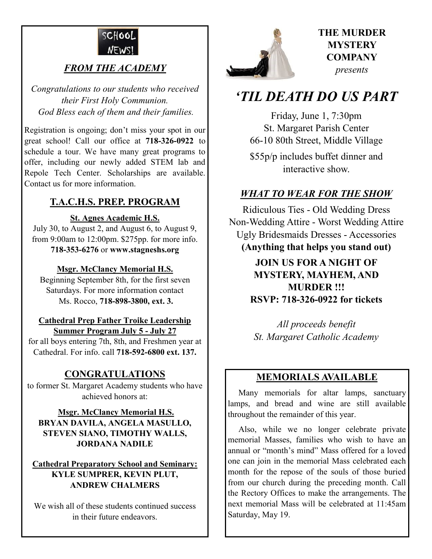

## *FROM THE ACADEMY*

*Congratulations to our students who received their First Holy Communion. God Bless each of them and their families.*

Registration is ongoing; don't miss your spot in our great school! Call our office at **718-326-0922** to schedule a tour. We have many great programs to offer, including our newly added STEM lab and Repole Tech Center. Scholarships are available. Contact us for more information.

#### **T.A.C.H.S. PREP. PROGRAM**

#### **St. Agnes Academic H.S.**

July 30, to August 2, and August 6, to August 9, from 9:00am to 12:00pm. \$275pp. for more info. **718-353-6276** or **www.stagneshs.org**

#### **Msgr. McClancy Memorial H.S.**

Beginning September 8th, for the first seven Saturdays. For more information contact Ms. Rocco, **718-898-3800, ext. 3.**

#### **Cathedral Prep Father Troike Leadership Summer Program July 5 - July 27**

for all boys entering 7th, 8th, and Freshmen year at Cathedral. For info. call **718-592-6800 ext. 137.**

## **CONGRATULATIONS**

to former St. Margaret Academy students who have achieved honors at:

#### **Msgr. McClancy Memorial H.S. BRYAN DAVILA, ANGELA MASULLO, STEVEN SIANO, TIMOTHY WALLS, JORDANA NADILE**

#### **Cathedral Preparatory School and Seminary: KYLE SUMPRER, KEVIN PLUT, ANDREW CHALMERS**

We wish all of these students continued success in their future endeavors.



## **THE MURDER MYSTERY COMPANY** *presents*

# *'TIL DEATH DO US PART*

Friday, June 1, 7:30pm St. Margaret Parish Center 66-10 80th Street, Middle Village \$55p/p includes buffet dinner and interactive show.

## *WHAT TO WEAR FOR THE SHOW*

Ridiculous Ties - Old Wedding Dress Non-Wedding Attire - Worst Wedding Attire Ugly Bridesmaids Dresses - Accessories **(Anything that helps you stand out)**

> **JOIN US FOR A NIGHT OF MYSTERY, MAYHEM, AND MURDER !!! RSVP: 718-326-0922 for tickets**

*All proceeds benefit St. Margaret Catholic Academy* 

#### **MEMORIALS AVAILABLE**

Many memorials for altar lamps, sanctuary lamps, and bread and wine are still available throughout the remainder of this year.

 Also, while we no longer celebrate private memorial Masses, families who wish to have an annual or "month's mind" Mass offered for a loved one can join in the memorial Mass celebrated each month for the repose of the souls of those buried from our church during the preceding month. Call the Rectory Offices to make the arrangements. The next memorial Mass will be celebrated at 11:45am Saturday, May 19.